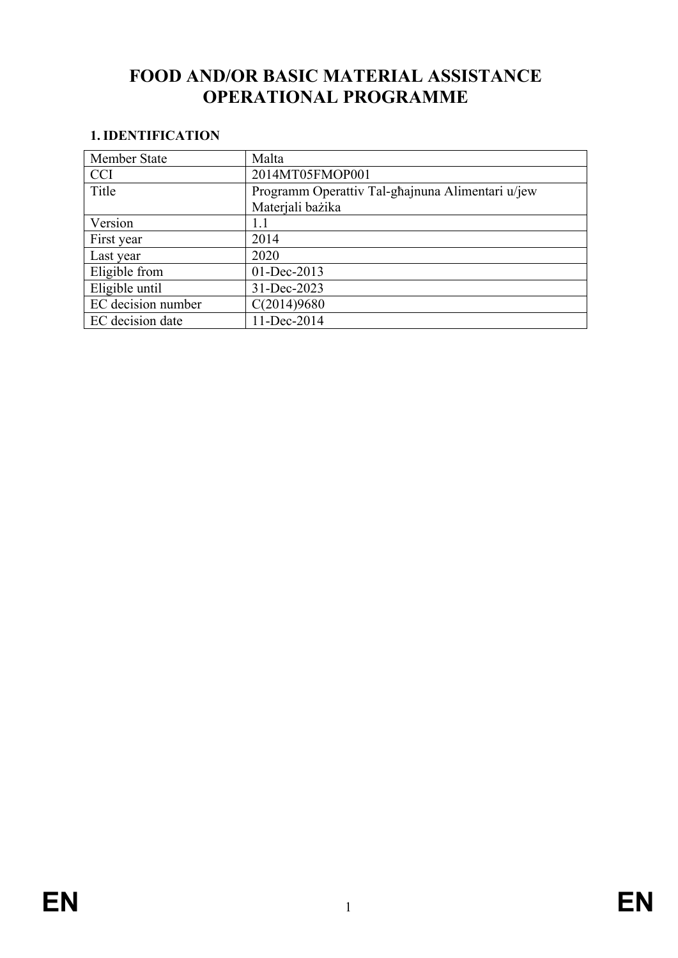# **FOOD AND/OR BASIC MATERIAL ASSISTANCE OPERATIONAL PROGRAMME**

# **1. IDENTIFICATION**

| Member State       | Malta                                            |  |  |  |
|--------------------|--------------------------------------------------|--|--|--|
| <b>CCI</b>         | 2014MT05FMOP001                                  |  |  |  |
| Title              | Programm Operattiv Tal-ghajnuna Alimentari u/jew |  |  |  |
|                    | Materjali bazika                                 |  |  |  |
| Version            | 1.1                                              |  |  |  |
| First year         | 2014                                             |  |  |  |
| Last year          | 2020                                             |  |  |  |
| Eligible from      | 01-Dec-2013                                      |  |  |  |
| Eligible until     | 31-Dec-2023                                      |  |  |  |
| EC decision number | C(2014)9680                                      |  |  |  |
| EC decision date   | 11-Dec-2014                                      |  |  |  |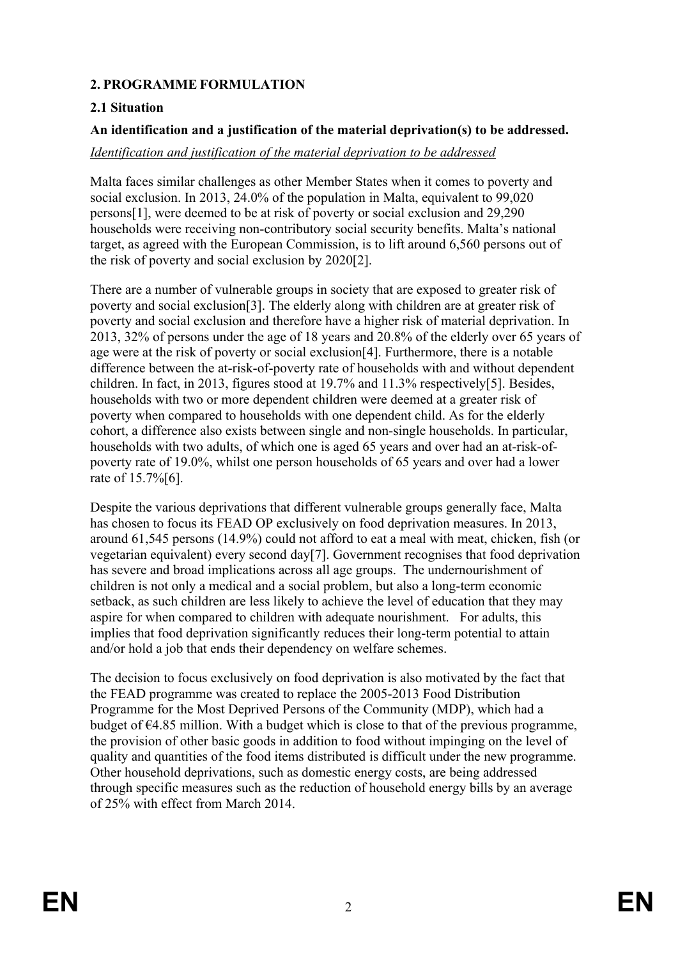# **2. PROGRAMME FORMULATION**

### **2.1 Situation**

#### **An identification and a justification of the material deprivation(s) to be addressed.**

#### *Identification and justification of the material deprivation to be addressed*

Malta faces similar challenges as other Member States when it comes to poverty and social exclusion. In 2013, 24.0% of the population in Malta, equivalent to 99,020 persons[1], were deemed to be at risk of poverty or social exclusion and 29,290 households were receiving non-contributory social security benefits. Malta's national target, as agreed with the European Commission, is to lift around 6,560 persons out of the risk of poverty and social exclusion by 2020[2].

There are a number of vulnerable groups in society that are exposed to greater risk of poverty and social exclusion[3]. The elderly along with children are at greater risk of poverty and social exclusion and therefore have a higher risk of material deprivation. In 2013, 32% of persons under the age of 18 years and 20.8% of the elderly over 65 years of age were at the risk of poverty or social exclusion[4]. Furthermore, there is a notable difference between the at-risk-of-poverty rate of households with and without dependent children. In fact, in 2013, figures stood at 19.7% and 11.3% respectively[5]. Besides, households with two or more dependent children were deemed at a greater risk of poverty when compared to households with one dependent child. As for the elderly cohort, a difference also exists between single and non-single households. In particular, households with two adults, of which one is aged 65 years and over had an at-risk-ofpoverty rate of 19.0%, whilst one person households of 65 years and over had a lower rate of 15.7%[6].

Despite the various deprivations that different vulnerable groups generally face, Malta has chosen to focus its FEAD OP exclusively on food deprivation measures. In 2013, around 61,545 persons (14.9%) could not afford to eat a meal with meat, chicken, fish (or vegetarian equivalent) every second day[7]. Government recognises that food deprivation has severe and broad implications across all age groups. The undernourishment of children is not only a medical and a social problem, but also a long-term economic setback, as such children are less likely to achieve the level of education that they may aspire for when compared to children with adequate nourishment. For adults, this implies that food deprivation significantly reduces their long-term potential to attain and/or hold a job that ends their dependency on welfare schemes.

The decision to focus exclusively on food deprivation is also motivated by the fact that the FEAD programme was created to replace the 2005-2013 Food Distribution Programme for the Most Deprived Persons of the Community (MDP), which had a budget of  $\epsilon$ 4.85 million. With a budget which is close to that of the previous programme, the provision of other basic goods in addition to food without impinging on the level of quality and quantities of the food items distributed is difficult under the new programme. Other household deprivations, such as domestic energy costs, are being addressed through specific measures such as the reduction of household energy bills by an average of 25% with effect from March 2014.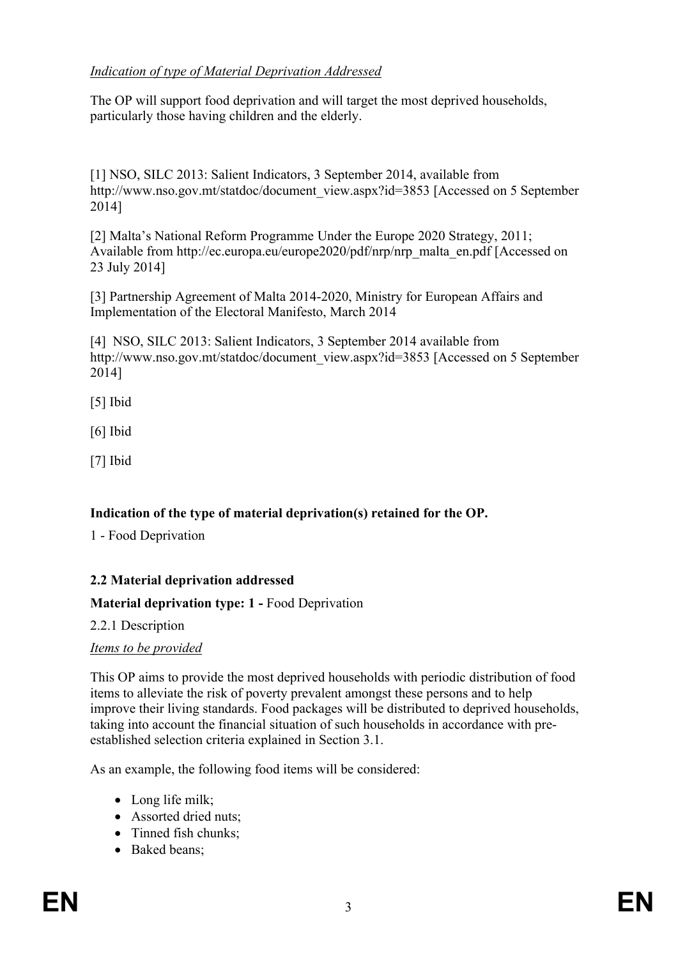# *Indication of type of Material Deprivation Addressed*

The OP will support food deprivation and will target the most deprived households, particularly those having children and the elderly.

[1] NSO, SILC 2013: Salient Indicators, 3 September 2014, available from http://www.nso.gov.mt/statdoc/document\_view.aspx?id=3853 [Accessed on 5 September 2014]

[2] Malta's National Reform Programme Under the Europe 2020 Strategy, 2011; Available from http://ec.europa.eu/europe2020/pdf/nrp/nrp\_malta\_en.pdf [Accessed on 23 July 2014]

[3] Partnership Agreement of Malta 2014-2020, Ministry for European Affairs and Implementation of the Electoral Manifesto, March 2014

[4] NSO, SILC 2013: Salient Indicators, 3 September 2014 available from http://www.nso.gov.mt/statdoc/document\_view.aspx?id=3853 [Accessed on 5 September 2014]

[5] Ibid

[6] Ibid

[7] Ibid

# **Indication of the type of material deprivation(s) retained for the OP.**

1 - Food Deprivation

# **2.2 Material deprivation addressed**

# **Material deprivation type: 1 -** Food Deprivation

2.2.1 Description

#### *Items to be provided*

This OP aims to provide the most deprived households with periodic distribution of food items to alleviate the risk of poverty prevalent amongst these persons and to help improve their living standards. Food packages will be distributed to deprived households, taking into account the financial situation of such households in accordance with preestablished selection criteria explained in Section 3.1.

As an example, the following food items will be considered:

- Long life milk;
- Assorted dried nuts:
- Tinned fish chunks:
- Baked beans;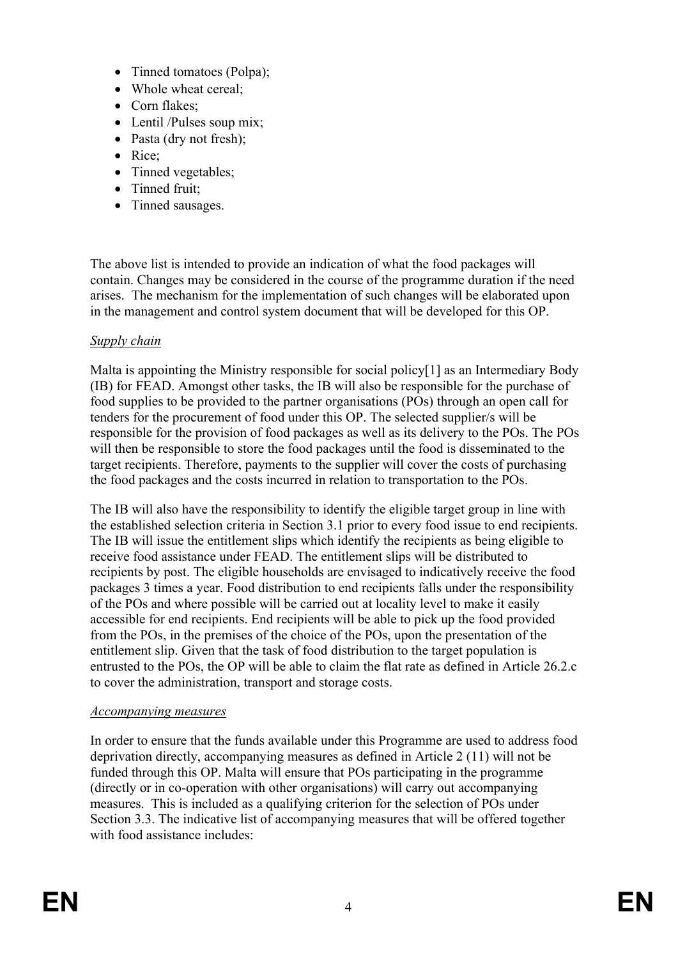- Tinned tomatoes (Polpa);
- Whole wheat cereal;
- Corn flakes:
- Lentil /Pulses soup mix;
- Pasta (dry not fresh);
- Rice:
- Tinned vegetables;
- Tinned fruit;
- Tinned sausages.

The above list is intended to provide an indication of what the food packages will contain. Changes may be considered in the course of the programme duration if the need arises. The mechanism for the implementation of such changes will be elaborated upon in the management and control system document that will be developed for this OP.

### *Supply chain*

Malta is appointing the Ministry responsible for social policy[1] as an Intermediary Body (IB) for FEAD. Amongst other tasks, the IB will also be responsible for the purchase of food supplies to be provided to the partner organisations (POs) through an open call for tenders for the procurement of food under this OP. The selected supplier/s will be responsible for the provision of food packages as well as its delivery to the POs. The POs will then be responsible to store the food packages until the food is disseminated to the target recipients. Therefore, payments to the supplier will cover the costs of purchasing the food packages and the costs incurred in relation to transportation to the POs.

The IB will also have the responsibility to identify the eligible target group in line with the established selection criteria in Section 3.1 prior to every food issue to end recipients. The IB will issue the entitlement slips which identify the recipients as being eligible to receive food assistance under FEAD. The entitlement slips will be distributed to recipients by post. The eligible households are envisaged to indicatively receive the food packages 3 times a year. Food distribution to end recipients falls under the responsibility of the POs and where possible will be carried out at locality level to make it easily accessible for end recipients. End recipients will be able to pick up the food provided from the POs, in the premises of the choice of the POs, upon the presentation of the entitlement slip. Given that the task of food distribution to the target population is entrusted to the POs, the OP will be able to claim the flat rate as defined in Article 26.2.c to cover the administration, transport and storage costs.

#### *Accompanying measures*

In order to ensure that the funds available under this Programme are used to address food deprivation directly, accompanying measures as defined in Article 2 (11) will not be funded through this OP. Malta will ensure that POs participating in the programme (directly or in co-operation with other organisations) will carry out accompanying measures. This is included as a qualifying criterion for the selection of POs under Section 3.3. The indicative list of accompanying measures that will be offered together with food assistance includes: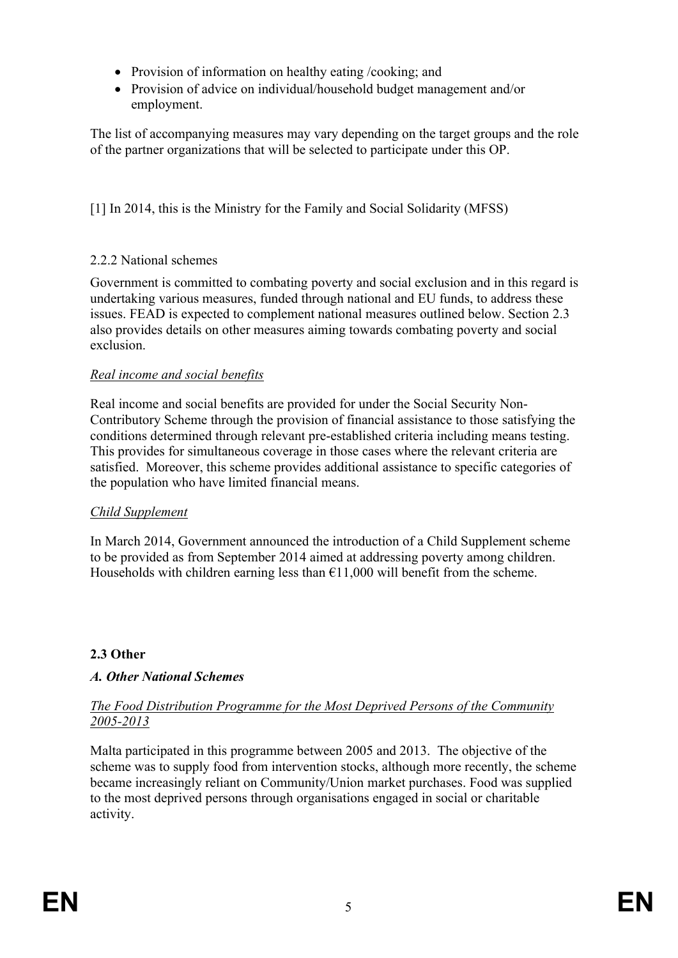- Provision of information on healthy eating /cooking; and
- Provision of advice on individual/household budget management and/or employment.

The list of accompanying measures may vary depending on the target groups and the role of the partner organizations that will be selected to participate under this OP.

[1] In 2014, this is the Ministry for the Family and Social Solidarity (MFSS)

# 2.2.2 National schemes

Government is committed to combating poverty and social exclusion and in this regard is undertaking various measures, funded through national and EU funds, to address these issues. FEAD is expected to complement national measures outlined below. Section 2.3 also provides details on other measures aiming towards combating poverty and social exclusion.

# *Real income and social benefits*

Real income and social benefits are provided for under the Social Security Non-Contributory Scheme through the provision of financial assistance to those satisfying the conditions determined through relevant pre-established criteria including means testing. This provides for simultaneous coverage in those cases where the relevant criteria are satisfied. Moreover, this scheme provides additional assistance to specific categories of the population who have limited financial means.

# *Child Supplement*

In March 2014, Government announced the introduction of a Child Supplement scheme to be provided as from September 2014 aimed at addressing poverty among children. Households with children earning less than  $\epsilon$ 11,000 will benefit from the scheme.

# **2.3 Other**

# *A. Other National Schemes*

### *The Food Distribution Programme for the Most Deprived Persons of the Community 2005-2013*

Malta participated in this programme between 2005 and 2013. The objective of the scheme was to supply food from intervention stocks, although more recently, the scheme became increasingly reliant on Community/Union market purchases. Food was supplied to the most deprived persons through organisations engaged in social or charitable activity.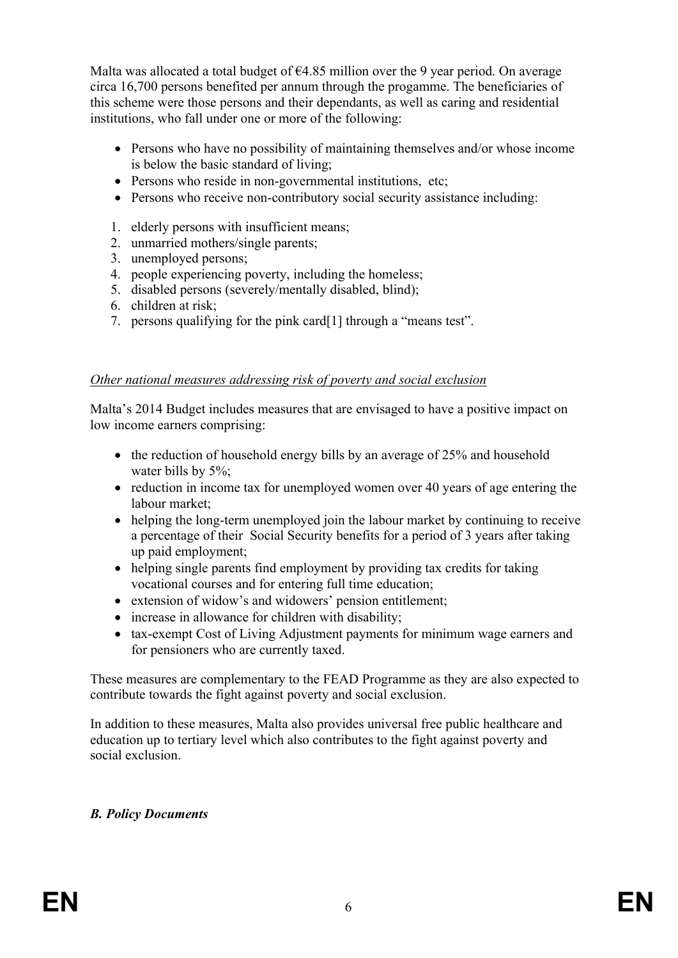Malta was allocated a total budget of  $\epsilon$ 4.85 million over the 9 year period. On average circa 16,700 persons benefited per annum through the progamme. The beneficiaries of this scheme were those persons and their dependants, as well as caring and residential institutions, who fall under one or more of the following:

- Persons who have no possibility of maintaining themselves and/or whose income is below the basic standard of living;
- Persons who reside in non-governmental institutions, etc;
- Persons who receive non-contributory social security assistance including:
- 1. elderly persons with insufficient means;
- 2. unmarried mothers/single parents;
- 3. unemployed persons;
- 4. people experiencing poverty, including the homeless;
- 5. disabled persons (severely/mentally disabled, blind);
- 6. children at risk;
- 7. persons qualifying for the pink card[1] through a "means test".

#### *Other national measures addressing risk of poverty and social exclusion*

Malta's 2014 Budget includes measures that are envisaged to have a positive impact on low income earners comprising:

- $\bullet$  the reduction of household energy bills by an average of 25% and household water bills by 5%:
- reduction in income tax for unemployed women over 40 years of age entering the labour market;
- helping the long-term unemployed join the labour market by continuing to receive a percentage of their Social Security benefits for a period of 3 years after taking up paid employment;
- helping single parents find employment by providing tax credits for taking vocational courses and for entering full time education;
- extension of widow's and widowers' pension entitlement;
- increase in allowance for children with disability;
- tax-exempt Cost of Living Adjustment payments for minimum wage earners and for pensioners who are currently taxed.

These measures are complementary to the FEAD Programme as they are also expected to contribute towards the fight against poverty and social exclusion.

In addition to these measures, Malta also provides universal free public healthcare and education up to tertiary level which also contributes to the fight against poverty and social exclusion.

#### *B. Policy Documents*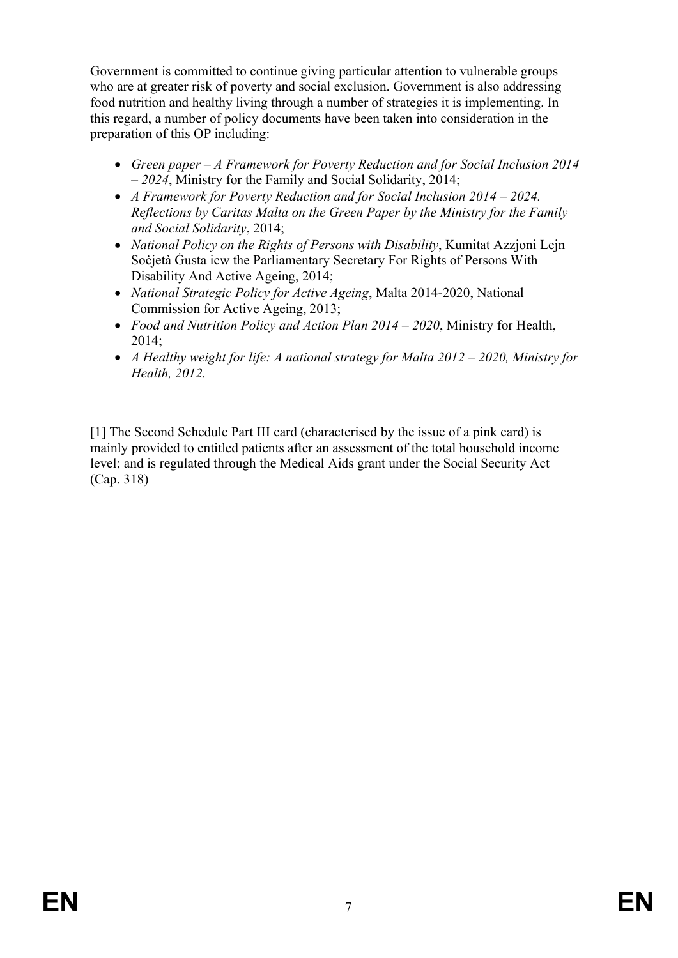Government is committed to continue giving particular attention to vulnerable groups who are at greater risk of poverty and social exclusion. Government is also addressing food nutrition and healthy living through a number of strategies it is implementing. In this regard, a number of policy documents have been taken into consideration in the preparation of this OP including:

- *Green paper – A Framework for Poverty Reduction and for Social Inclusion 2014 – 2024*, Ministry for the Family and Social Solidarity, 2014;
- *A Framework for Poverty Reduction and for Social Inclusion 2014 – 2024. Reflections by Caritas Malta on the Green Paper by the Ministry for the Family and Social Solidarity*, 2014;
- *National Policy on the Rights of Persons with Disability*, Kumitat Azzjoni Lejn Soċjetà Ġusta icw the Parliamentary Secretary For Rights of Persons With Disability And Active Ageing, 2014;
- *National Strategic Policy for Active Ageing*, Malta 2014-2020, National Commission for Active Ageing, 2013;
- *Food and Nutrition Policy and Action Plan 2014 – 2020*, Ministry for Health, 2014;
- *A Healthy weight for life: A national strategy for Malta 2012 – 2020, Ministry for Health, 2012.*

[1] The Second Schedule Part III card (characterised by the issue of a pink card) is mainly provided to entitled patients after an assessment of the total household income level; and is regulated through the Medical Aids grant under the Social Security Act (Cap. 318)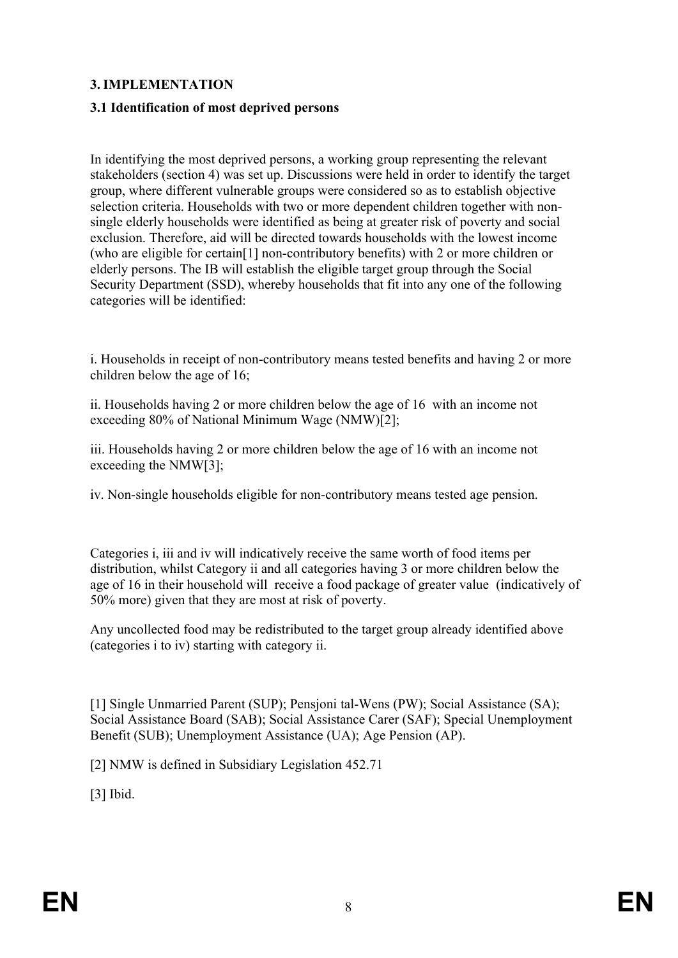### **3. IMPLEMENTATION**

#### **3.1 Identification of most deprived persons**

In identifying the most deprived persons, a working group representing the relevant stakeholders (section 4) was set up. Discussions were held in order to identify the target group, where different vulnerable groups were considered so as to establish objective selection criteria. Households with two or more dependent children together with nonsingle elderly households were identified as being at greater risk of poverty and social exclusion. Therefore, aid will be directed towards households with the lowest income (who are eligible for certain[1] non-contributory benefits) with 2 or more children or elderly persons. The IB will establish the eligible target group through the Social Security Department (SSD), whereby households that fit into any one of the following categories will be identified:

i. Households in receipt of non-contributory means tested benefits and having 2 or more children below the age of 16;

ii. Households having 2 or more children below the age of 16 with an income not exceeding 80% of National Minimum Wage (NMW)[2];

iii. Households having 2 or more children below the age of 16 with an income not exceeding the NMW[3];

iv. Non-single households eligible for non-contributory means tested age pension.

Categories i, iii and iv will indicatively receive the same worth of food items per distribution, whilst Category ii and all categories having 3 or more children below the age of 16 in their household will receive a food package of greater value (indicatively of 50% more) given that they are most at risk of poverty.

Any uncollected food may be redistributed to the target group already identified above (categories i to iv) starting with category ii.

[1] Single Unmarried Parent (SUP); Pensjoni tal-Wens (PW); Social Assistance (SA); Social Assistance Board (SAB); Social Assistance Carer (SAF); Special Unemployment Benefit (SUB); Unemployment Assistance (UA); Age Pension (AP).

[2] NMW is defined in Subsidiary Legislation 452.71

[3] Ibid.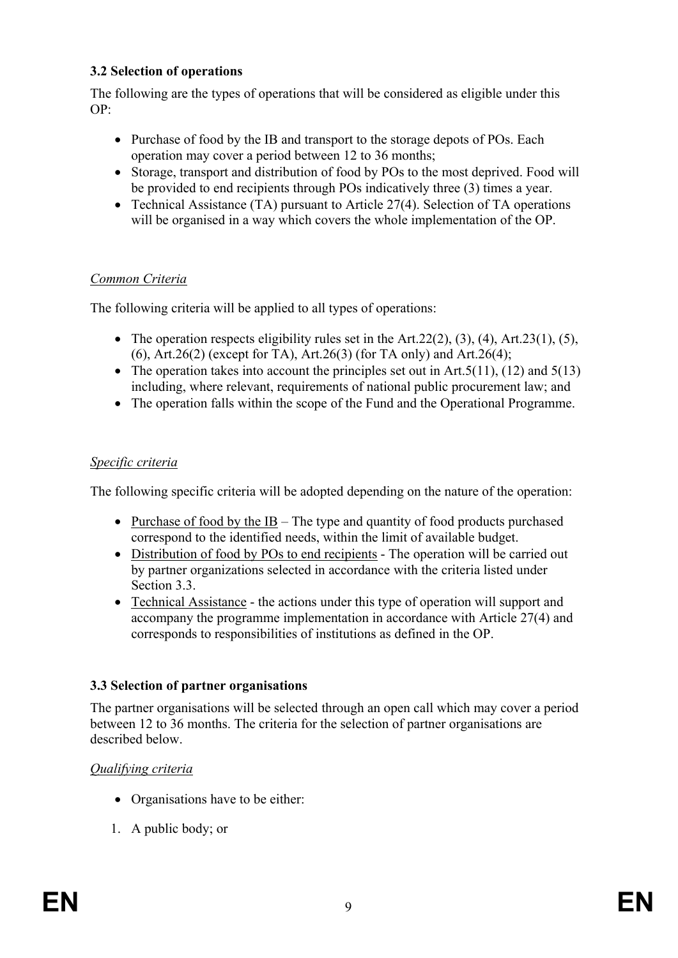### **3.2 Selection of operations**

The following are the types of operations that will be considered as eligible under this  $OP$ 

- Purchase of food by the IB and transport to the storage depots of POs. Each operation may cover a period between 12 to 36 months;
- Storage, transport and distribution of food by POs to the most deprived. Food will be provided to end recipients through POs indicatively three (3) times a year.
- Technical Assistance (TA) pursuant to Article 27(4). Selection of TA operations will be organised in a way which covers the whole implementation of the OP.

# *Common Criteria*

The following criteria will be applied to all types of operations:

- The operation respects eligibility rules set in the Art.  $22(2)$ ,  $(3)$ ,  $(4)$ , Art.  $23(1)$ ,  $(5)$ , (6), Art.26(2) (except for TA), Art.26(3) (for TA only) and Art.26(4);
- The operation takes into account the principles set out in Art.  $5(11)$ ,  $(12)$  and  $5(13)$ including, where relevant, requirements of national public procurement law; and
- The operation falls within the scope of the Fund and the Operational Programme.

### *Specific criteria*

The following specific criteria will be adopted depending on the nature of the operation:

- Purchase of food by the IB The type and quantity of food products purchased correspond to the identified needs, within the limit of available budget.
- Distribution of food by POs to end recipients The operation will be carried out by partner organizations selected in accordance with the criteria listed under Section 3.3.
- Technical Assistance the actions under this type of operation will support and accompany the programme implementation in accordance with Article 27(4) and corresponds to responsibilities of institutions as defined in the OP.

# **3.3 Selection of partner organisations**

The partner organisations will be selected through an open call which may cover a period between 12 to 36 months. The criteria for the selection of partner organisations are described below.

#### *Qualifying criteria*

- Organisations have to be either:
- 1. A public body; or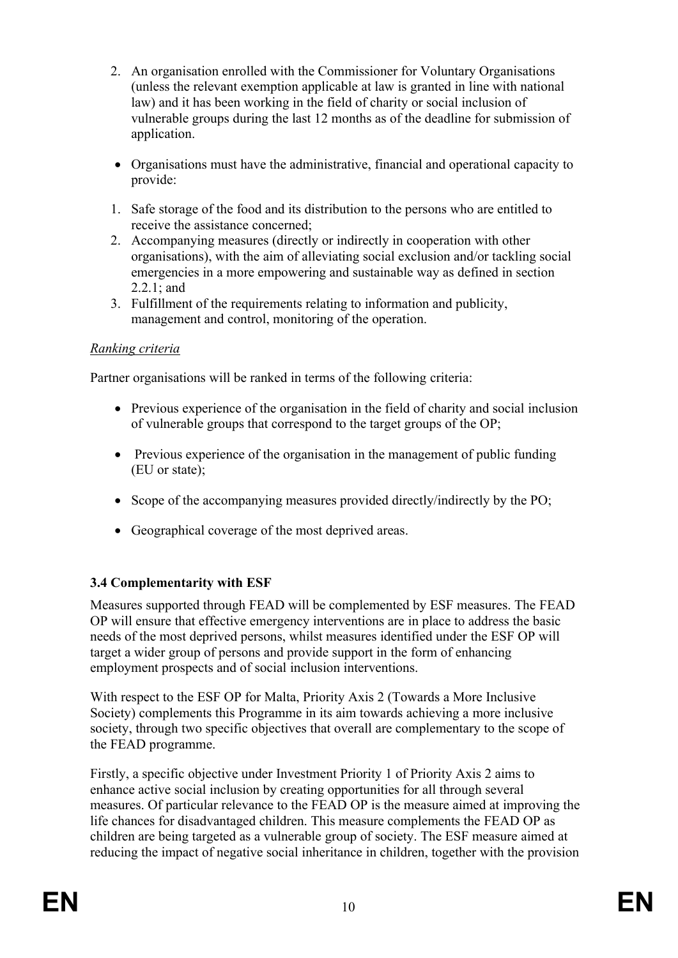- 2. An organisation enrolled with the Commissioner for Voluntary Organisations (unless the relevant exemption applicable at law is granted in line with national law) and it has been working in the field of charity or social inclusion of vulnerable groups during the last 12 months as of the deadline for submission of application.
- Organisations must have the administrative, financial and operational capacity to provide:
- 1. Safe storage of the food and its distribution to the persons who are entitled to receive the assistance concerned;
- 2. Accompanying measures (directly or indirectly in cooperation with other organisations), with the aim of alleviating social exclusion and/or tackling social emergencies in a more empowering and sustainable way as defined in section 2.2.1; and
- 3. Fulfillment of the requirements relating to information and publicity, management and control, monitoring of the operation.

#### *Ranking criteria*

Partner organisations will be ranked in terms of the following criteria:

- Previous experience of the organisation in the field of charity and social inclusion of vulnerable groups that correspond to the target groups of the OP;
- Previous experience of the organisation in the management of public funding (EU or state);
- Scope of the accompanying measures provided directly/indirectly by the PO;
- Geographical coverage of the most deprived areas.

#### **3.4 Complementarity with ESF**

Measures supported through FEAD will be complemented by ESF measures. The FEAD OP will ensure that effective emergency interventions are in place to address the basic needs of the most deprived persons, whilst measures identified under the ESF OP will target a wider group of persons and provide support in the form of enhancing employment prospects and of social inclusion interventions.

With respect to the ESF OP for Malta, Priority Axis 2 (Towards a More Inclusive Society) complements this Programme in its aim towards achieving a more inclusive society, through two specific objectives that overall are complementary to the scope of the FEAD programme.

Firstly, a specific objective under Investment Priority 1 of Priority Axis 2 aims to enhance active social inclusion by creating opportunities for all through several measures. Of particular relevance to the FEAD OP is the measure aimed at improving the life chances for disadvantaged children. This measure complements the FEAD OP as children are being targeted as a vulnerable group of society. The ESF measure aimed at reducing the impact of negative social inheritance in children, together with the provision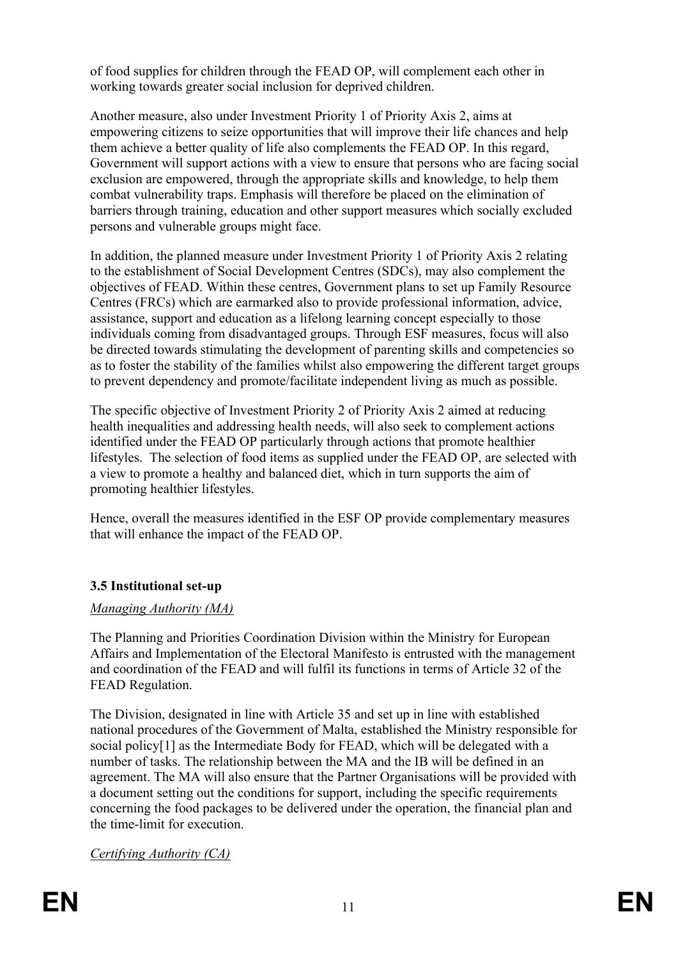of food supplies for children through the FEAD OP, will complement each other in working towards greater social inclusion for deprived children.

Another measure, also under Investment Priority 1 of Priority Axis 2, aims at empowering citizens to seize opportunities that will improve their life chances and help them achieve a better quality of life also complements the FEAD OP. In this regard, Government will support actions with a view to ensure that persons who are facing social exclusion are empowered, through the appropriate skills and knowledge, to help them combat vulnerability traps. Emphasis will therefore be placed on the elimination of barriers through training, education and other support measures which socially excluded persons and vulnerable groups might face.

In addition, the planned measure under Investment Priority 1 of Priority Axis 2 relating to the establishment of Social Development Centres (SDCs), may also complement the objectives of FEAD. Within these centres, Government plans to set up Family Resource Centres (FRCs) which are earmarked also to provide professional information, advice, assistance, support and education as a lifelong learning concept especially to those individuals coming from disadvantaged groups. Through ESF measures, focus will also be directed towards stimulating the development of parenting skills and competencies so as to foster the stability of the families whilst also empowering the different target groups to prevent dependency and promote/facilitate independent living as much as possible.

The specific objective of Investment Priority 2 of Priority Axis 2 aimed at reducing health inequalities and addressing health needs, will also seek to complement actions identified under the FEAD OP particularly through actions that promote healthier lifestyles. The selection of food items as supplied under the FEAD OP, are selected with a view to promote a healthy and balanced diet, which in turn supports the aim of promoting healthier lifestyles.

Hence, overall the measures identified in the ESF OP provide complementary measures that will enhance the impact of the FEAD OP.

# **3.5 Institutional set-up**

# *Managing Authority (MA)*

The Planning and Priorities Coordination Division within the Ministry for European Affairs and Implementation of the Electoral Manifesto is entrusted with the management and coordination of the FEAD and will fulfil its functions in terms of Article 32 of the FEAD Regulation.

The Division, designated in line with Article 35 and set up in line with established national procedures of the Government of Malta, established the Ministry responsible for social policy[1] as the Intermediate Body for FEAD, which will be delegated with a number of tasks. The relationship between the MA and the IB will be defined in an agreement. The MA will also ensure that the Partner Organisations will be provided with a document setting out the conditions for support, including the specific requirements concerning the food packages to be delivered under the operation, the financial plan and the time-limit for execution.

*Certifying Authority (CA)*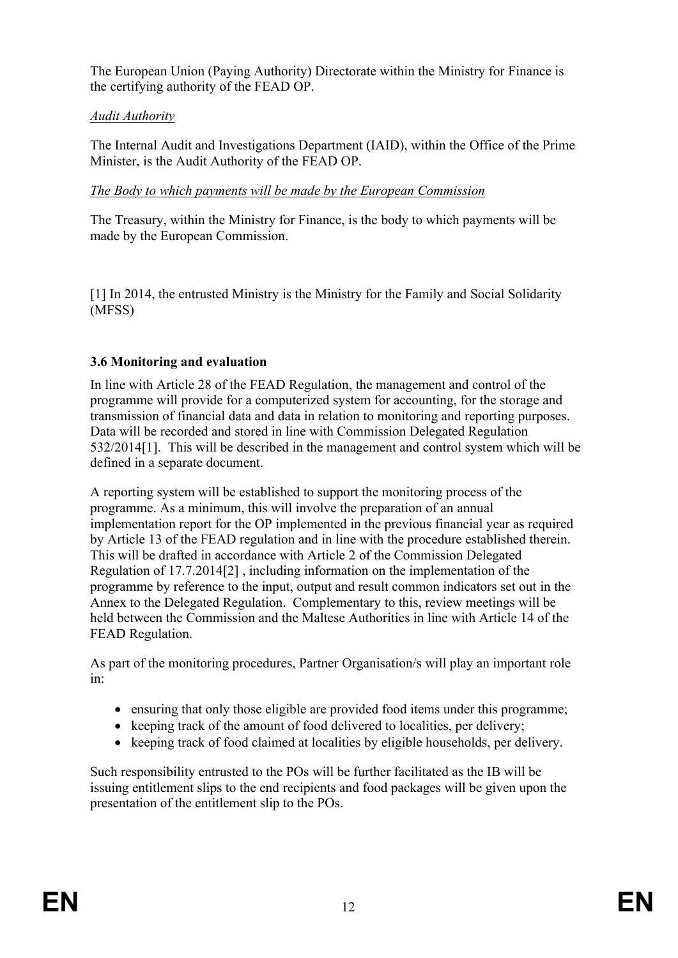The European Union (Paying Authority) Directorate within the Ministry for Finance is the certifying authority of the FEAD OP.

# *Audit Authority*

The Internal Audit and Investigations Department (IAID), within the Office of the Prime Minister, is the Audit Authority of the FEAD OP.

### *The Body to which payments will be made by the European Commission*

The Treasury, within the Ministry for Finance, is the body to which payments will be made by the European Commission.

[1] In 2014, the entrusted Ministry is the Ministry for the Family and Social Solidarity (MFSS)

# **3.6 Monitoring and evaluation**

In line with Article 28 of the FEAD Regulation, the management and control of the programme will provide for a computerized system for accounting, for the storage and transmission of financial data and data in relation to monitoring and reporting purposes. Data will be recorded and stored in line with Commission Delegated Regulation 532/2014[1]. This will be described in the management and control system which will be defined in a separate document.

A reporting system will be established to support the monitoring process of the programme. As a minimum, this will involve the preparation of an annual implementation report for the OP implemented in the previous financial year as required by Article 13 of the FEAD regulation and in line with the procedure established therein. This will be drafted in accordance with Article 2 of the Commission Delegated Regulation of 17.7.2014[2] , including information on the implementation of the programme by reference to the input, output and result common indicators set out in the Annex to the Delegated Regulation. Complementary to this, review meetings will be held between the Commission and the Maltese Authorities in line with Article 14 of the FEAD Regulation.

As part of the monitoring procedures, Partner Organisation/s will play an important role in:

- ensuring that only those eligible are provided food items under this programme;
- keeping track of the amount of food delivered to localities, per delivery;
- keeping track of food claimed at localities by eligible households, per delivery.

Such responsibility entrusted to the POs will be further facilitated as the IB will be issuing entitlement slips to the end recipients and food packages will be given upon the presentation of the entitlement slip to the POs.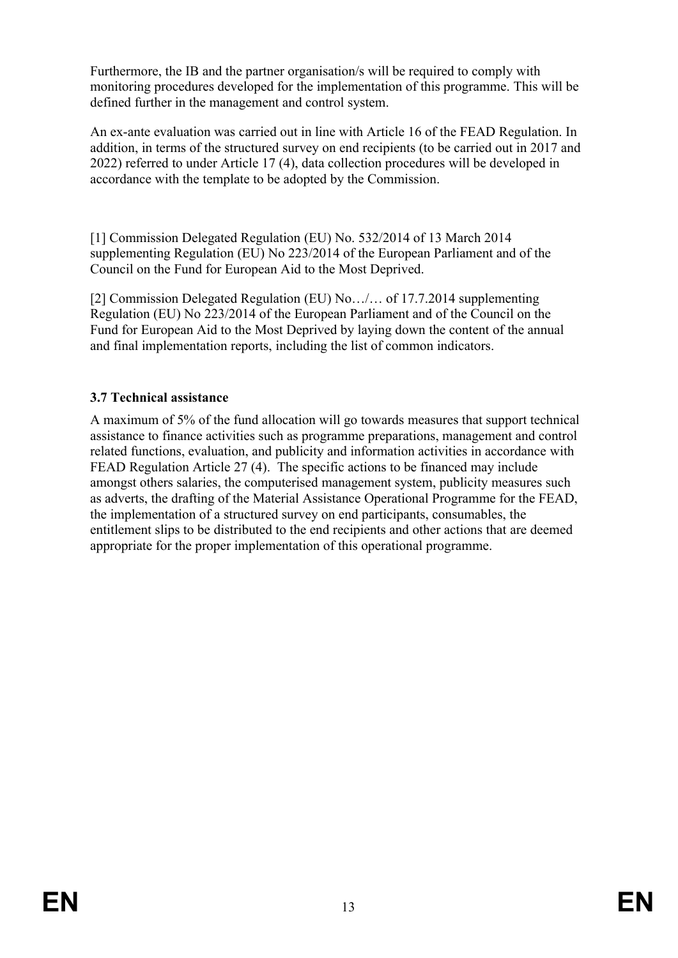Furthermore, the IB and the partner organisation/s will be required to comply with monitoring procedures developed for the implementation of this programme. This will be defined further in the management and control system.

An ex-ante evaluation was carried out in line with Article 16 of the FEAD Regulation. In addition, in terms of the structured survey on end recipients (to be carried out in 2017 and 2022) referred to under Article 17 (4), data collection procedures will be developed in accordance with the template to be adopted by the Commission.

[1] Commission Delegated Regulation (EU) No. 532/2014 of 13 March 2014 supplementing Regulation (EU) No 223/2014 of the European Parliament and of the Council on the Fund for European Aid to the Most Deprived.

[2] Commission Delegated Regulation (EU) No…/… of 17.7.2014 supplementing Regulation (EU) No 223/2014 of the European Parliament and of the Council on the Fund for European Aid to the Most Deprived by laying down the content of the annual and final implementation reports, including the list of common indicators.

### **3.7 Technical assistance**

A maximum of 5% of the fund allocation will go towards measures that support technical assistance to finance activities such as programme preparations, management and control related functions, evaluation, and publicity and information activities in accordance with FEAD Regulation Article 27 (4). The specific actions to be financed may include amongst others salaries, the computerised management system, publicity measures such as adverts, the drafting of the Material Assistance Operational Programme for the FEAD, the implementation of a structured survey on end participants, consumables, the entitlement slips to be distributed to the end recipients and other actions that are deemed appropriate for the proper implementation of this operational programme.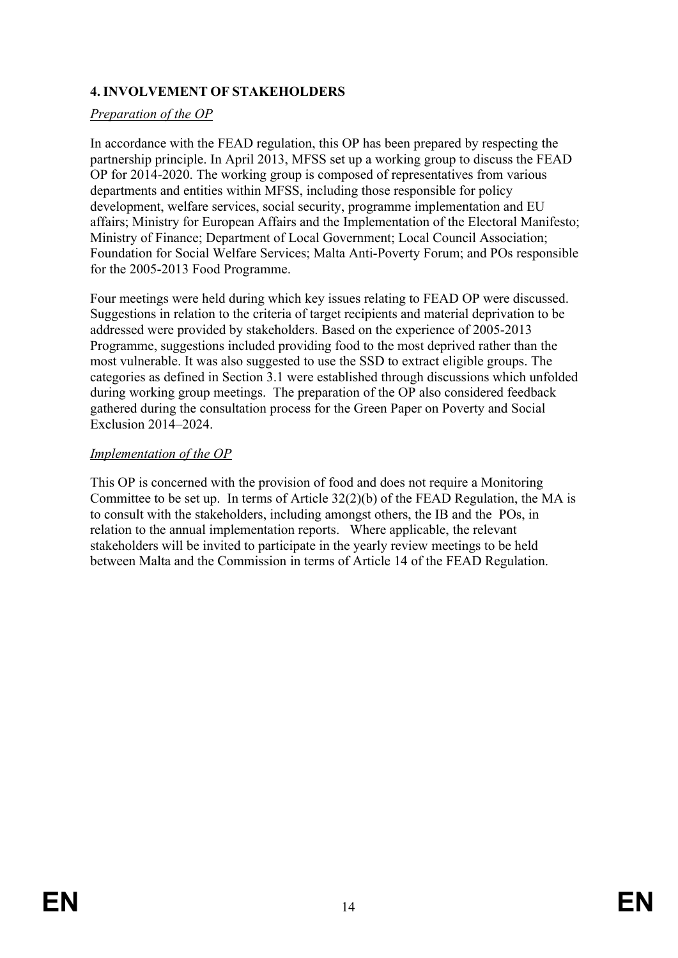# **4. INVOLVEMENT OF STAKEHOLDERS**

#### *Preparation of the OP*

In accordance with the FEAD regulation, this OP has been prepared by respecting the partnership principle. In April 2013, MFSS set up a working group to discuss the FEAD OP for 2014-2020. The working group is composed of representatives from various departments and entities within MFSS, including those responsible for policy development, welfare services, social security, programme implementation and EU affairs; Ministry for European Affairs and the Implementation of the Electoral Manifesto; Ministry of Finance; Department of Local Government; Local Council Association; Foundation for Social Welfare Services; Malta Anti-Poverty Forum; and POs responsible for the 2005-2013 Food Programme.

Four meetings were held during which key issues relating to FEAD OP were discussed. Suggestions in relation to the criteria of target recipients and material deprivation to be addressed were provided by stakeholders. Based on the experience of 2005-2013 Programme, suggestions included providing food to the most deprived rather than the most vulnerable. It was also suggested to use the SSD to extract eligible groups. The categories as defined in Section 3.1 were established through discussions which unfolded during working group meetings. The preparation of the OP also considered feedback gathered during the consultation process for the Green Paper on Poverty and Social Exclusion 2014–2024.

#### *Implementation of the OP*

This OP is concerned with the provision of food and does not require a Monitoring Committee to be set up. In terms of Article 32(2)(b) of the FEAD Regulation, the MA is to consult with the stakeholders, including amongst others, the IB and the POs, in relation to the annual implementation reports. Where applicable, the relevant stakeholders will be invited to participate in the yearly review meetings to be held between Malta and the Commission in terms of Article 14 of the FEAD Regulation.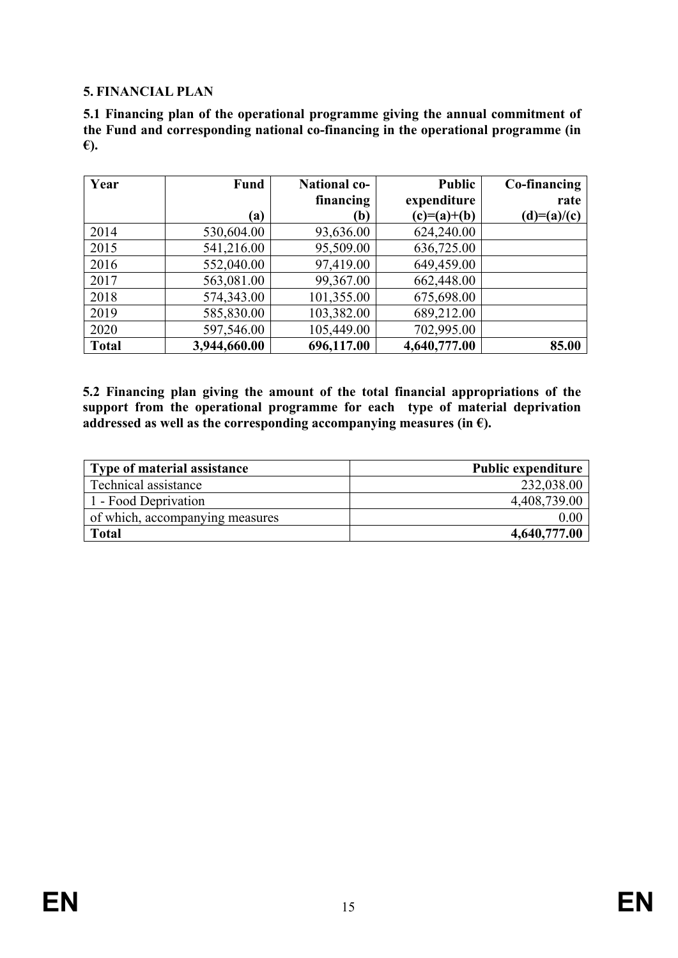#### **5. FINANCIAL PLAN**

**5.1 Financing plan of the operational programme giving the annual commitment of the Fund and corresponding national co-financing in the operational programme (in €).**

| Year         | Fund         | <b>National co-</b> | <b>Public</b> | Co-financing  |
|--------------|--------------|---------------------|---------------|---------------|
|              |              | financing           | expenditure   | rate          |
|              | (a)          | (b)                 | $(c)=(a)+(b)$ | $(d)=(a)/(c)$ |
| 2014         | 530,604.00   | 93,636.00           | 624,240.00    |               |
| 2015         | 541,216.00   | 95,509.00           | 636,725.00    |               |
| 2016         | 552,040.00   | 97,419.00           | 649,459.00    |               |
| 2017         | 563,081.00   | 99,367.00           | 662,448.00    |               |
| 2018         | 574,343.00   | 101,355.00          | 675,698.00    |               |
| 2019         | 585,830.00   | 103,382.00          | 689,212.00    |               |
| 2020         | 597,546.00   | 105,449.00          | 702,995.00    |               |
| <b>Total</b> | 3,944,660.00 | 696,117.00          | 4,640,777.00  | 85.00         |

**5.2 Financing plan giving the amount of the total financial appropriations of the support from the operational programme for each type of material deprivation addressed** as well as the corresponding accompanying measures (in  $\epsilon$ ).

| Type of material assistance     | <b>Public expenditure</b> |
|---------------------------------|---------------------------|
| Technical assistance            | 232,038.00                |
| 1 - Food Deprivation            | 4,408,739.00              |
| of which, accompanying measures | 0.00                      |
| <b>Total</b>                    | 4,640,777.00              |